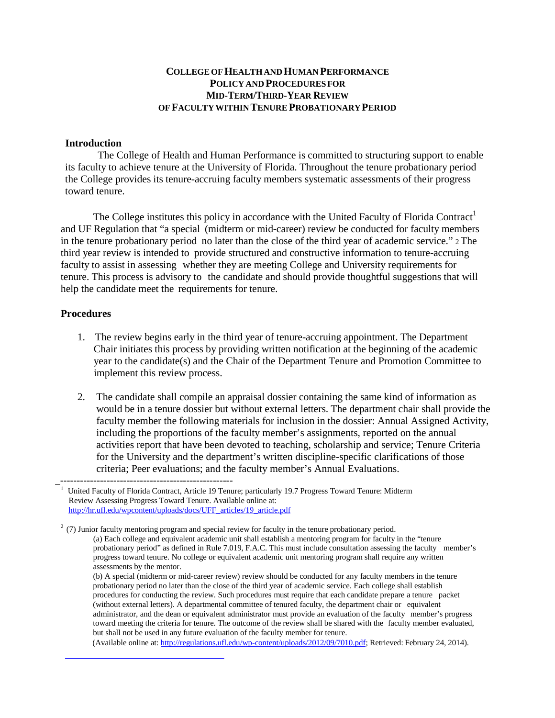## **COLLEGE OF HEALTH AND HUMAN PERFORMANCE POLICY AND PROCEDURESFOR MID-TERM/THIRD-YEAR REVIEW OF FACULTYWITHIN TENURE PROBATIONARYPERIOD**

## **Introduction**

The College of Health and Human Performance is committed to structuring support to enable its faculty to achieve tenure at the University of Florida. Throughout the tenure probationary period the College provides its tenure-accruing faculty members systematic assessments of their progress toward tenure.

The College institutes this policy in accordance with the United Faculty of Florida Contract<sup>1</sup> and UF Regulation that "a special (midterm or mid-career) review be conducted for faculty members in the tenure probationary period no later than the close of the third year of academic service." <sup>2</sup> The third year review is intended to provide structured and constructive information to tenure-accruing faculty to assist in assessing whether they are meeting College and University requirements for tenure. This process is advisory to the candidate and should provide thoughtful suggestions that will help the candidate meet the requirements for tenure.

## **Procedures**

- 1. The review begins early in the third year of tenure-accruing appointment. The Department Chair initiates this process by providing written notification at the beginning of the academic year to the candidate(s) and the Chair of the Department Tenure and Promotion Committee to implement this review process.
- 2. The candidate shall compile an appraisal dossier containing the same kind of information as would be in a tenure dossier but without external letters. The department chair shall provide the faculty member the following materials for inclusion in the dossier: Annual Assigned Activity, including the proportions of the faculty member's assignments, reported on the annual activities report that have been devoted to teaching, scholarship and service; Tenure Criteria for the University and the department's written discipline-specific clarifications of those criteria; Peer evaluations; and the faculty member's Annual Evaluations. \_----------------------------------------------------

(Available online at[: http://regulations.ufl.edu/wp-content/uploads/2012/09/7010.pdf;](http://regulations.ufl.edu/wp-content/uploads/2012/09/7010.pdf) Retrieved: February 24, 2014).

<sup>1</sup> United Faculty of Florida Contract, Article 19 Tenure; particularly 19.7 Progress Toward Tenure: Midterm Review Assessing Progress Toward Tenure. Available online at: [http://hr.ufl.edu/wpcontent/uploads/docs/UFF\\_articles/19\\_article.pdf](http://hr.ufl.edu/wpcontent/uploads/docs/UFF_articles/19_article.pdf)

 $2$  (7) Junior faculty mentoring program and special review for faculty in the tenure probationary period. (a) Each college and equivalent academic unit shall establish a mentoring program for faculty in the "tenure probationary period" as defined in Rule 7.019, F.A.C. This must include consultation assessing the faculty member's progress toward tenure. No college or equivalent academic unit mentoring program shall require any written assessments by the mentor.

<sup>(</sup>b) A special (midterm or mid-career review) review should be conducted for any faculty members in the tenure probationary period no later than the close of the third year of academic service. Each college shall establish procedures for conducting the review. Such procedures must require that each candidate prepare a tenure packet (without external letters). A departmental committee of tenured faculty, the department chair or equivalent administrator, and the dean or equivalent administrator must provide an evaluation of the faculty member's progress toward meeting the criteria for tenure. The outcome of the review shall be shared with the faculty member evaluated, but shall not be used in any future evaluation of the faculty member for tenure.